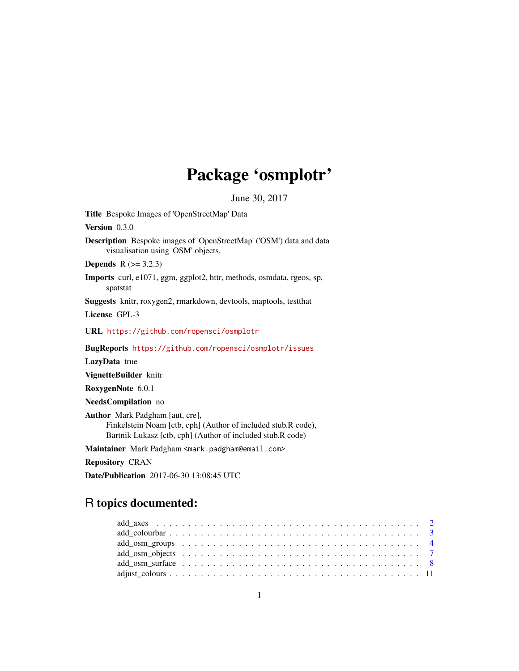# Package 'osmplotr'

June 30, 2017

Title Bespoke Images of 'OpenStreetMap' Data

Version 0.3.0

Description Bespoke images of 'OpenStreetMap' ('OSM') data and data visualisation using 'OSM' objects.

**Depends**  $R$  ( $> = 3.2.3$ )

Imports curl, e1071, ggm, ggplot2, httr, methods, osmdata, rgeos, sp, spatstat

Suggests knitr, roxygen2, rmarkdown, devtools, maptools, testthat

License GPL-3

URL <https://github.com/ropensci/osmplotr>

BugReports <https://github.com/ropensci/osmplotr/issues>

LazyData true

VignetteBuilder knitr

RoxygenNote 6.0.1

NeedsCompilation no

Author Mark Padgham [aut, cre], Finkelstein Noam [ctb, cph] (Author of included stub.R code), Bartnik Lukasz [ctb, cph] (Author of included stub.R code)

Maintainer Mark Padgham <mark.padgham@email.com>

Repository CRAN

Date/Publication 2017-06-30 13:08:45 UTC

# R topics documented:

| $add\_osm\_surface \dots \dots \dots \dots \dots \dots \dots \dots \dots \dots \dots \dots \dots \dots \dots$ |  |
|---------------------------------------------------------------------------------------------------------------|--|
|                                                                                                               |  |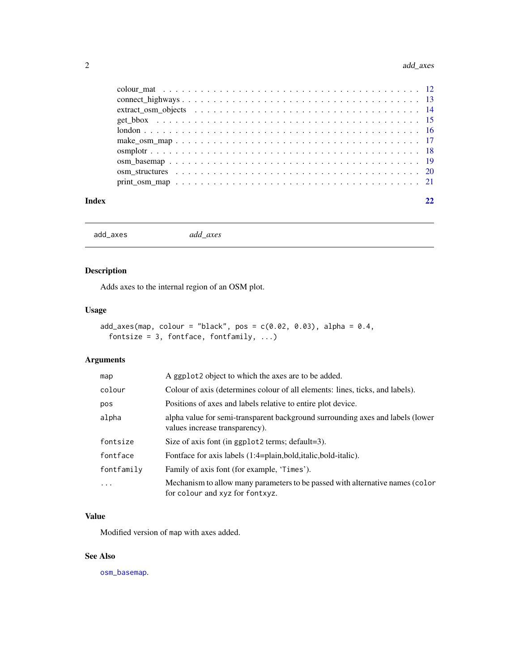<span id="page-1-0"></span>

<span id="page-1-1"></span>add\_axes *add\_axes*

# Description

Adds axes to the internal region of an OSM plot.

# Usage

```
add\_axes(map, colour = "black", pos = c(0.02, 0.03), alpha = 0.4,fontsize = 3, fontface, fontfamily, \dots)
```
# Arguments

| map                     | A ggplot <sub>2</sub> object to which the axes are to be added.                                                  |
|-------------------------|------------------------------------------------------------------------------------------------------------------|
| colour                  | Colour of axis (determines colour of all elements: lines, ticks, and labels).                                    |
| pos                     | Positions of axes and labels relative to entire plot device.                                                     |
| alpha                   | alpha value for semi-transparent background surrounding axes and labels (lower<br>values increase transparency). |
| fontsize                | Size of axis font (in ggplot2 terms; default=3).                                                                 |
| fontface                | Fontface for axis labels (1:4=plain,bold,italic,bold-italic).                                                    |
| fontfamily              | Family of axis font (for example, 'Times').                                                                      |
| $\cdot$ $\cdot$ $\cdot$ | Mechanism to allow many parameters to be passed with alternative names (color<br>for colour and xyz for fontxyz. |

#### Value

Modified version of map with axes added.

# See Also

[osm\\_basemap](#page-18-1).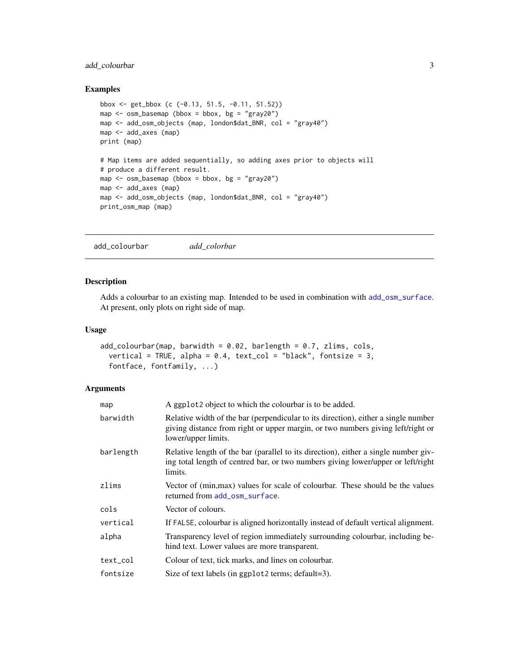# <span id="page-2-0"></span>add\_colourbar 3

# Examples

```
bbox <- get_bbox (c (-0.13, 51.5, -0.11, 51.52))
map \leq osm_basemap (bbox = bbox, bg = "gray20")
map <- add_osm_objects (map, london$dat_BNR, col = "gray40")
map <- add_axes (map)
print (map)
# Map items are added sequentially, so adding axes prior to objects will
# produce a different result.
map \leq osm_basemap (bbox = bbox, bg = "gray20")
map <- add_axes (map)
map <- add_osm_objects (map, london$dat_BNR, col = "gray40")
print_osm_map (map)
```
<span id="page-2-1"></span>add\_colourbar *add\_colorbar*

#### Description

Adds a colourbar to an existing map. Intended to be used in combination with [add\\_osm\\_surface](#page-7-1). At present, only plots on right side of map.

# Usage

```
add\_colourbar(map, barwidth = 0.02, barlength = 0.7, zlims, cols,vertical = TRUE, alpha = 0.4, text_col = "black", fontsize = 3,
  fontface, fontfamily, ...)
```
#### Arguments

| map       | A ggplot2 object to which the colourbar is to be added.                                                                                                                                      |
|-----------|----------------------------------------------------------------------------------------------------------------------------------------------------------------------------------------------|
| barwidth  | Relative width of the bar (perpendicular to its direction), either a single number<br>giving distance from right or upper margin, or two numbers giving left/right or<br>lower/upper limits. |
| barlength | Relative length of the bar (parallel to its direction), either a single number giv-<br>ing total length of centred bar, or two numbers giving lower/upper or left/right<br>limits.           |
| zlims     | Vector of (min, max) values for scale of colourbar. These should be the values<br>returned from add_osm_surface.                                                                             |
| cols      | Vector of colours.                                                                                                                                                                           |
| vertical  | If FALSE, colourbar is aligned horizontally instead of default vertical alignment.                                                                                                           |
| alpha     | Transparency level of region immediately surrounding colourbar, including be-<br>hind text. Lower values are more transparent.                                                               |
| text_col  | Colour of text, tick marks, and lines on colourbar.                                                                                                                                          |
| fontsize  | Size of text labels (in ggplot 2 terms; $default=3$ ).                                                                                                                                       |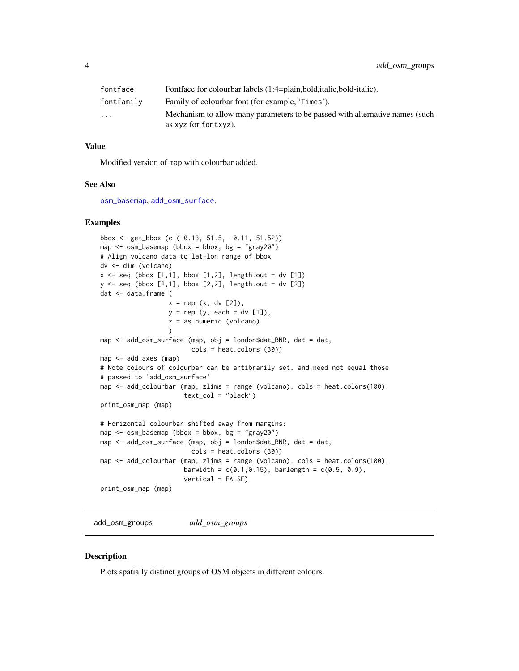<span id="page-3-0"></span>

| fontface                | Fontface for colourbar labels (1:4=plain, bold, italic, bold-italic).                                |
|-------------------------|------------------------------------------------------------------------------------------------------|
| fontfamily              | Family of colourbar font (for example, 'Times').                                                     |
| $\cdot$ $\cdot$ $\cdot$ | Mechanism to allow many parameters to be passed with alternative names (such<br>as xyz for fontxyz). |

#### Value

Modified version of map with colourbar added.

#### See Also

[osm\\_basemap](#page-18-1), [add\\_osm\\_surface](#page-7-1).

# Examples

```
bbox <- get_bbox (c (-0.13, 51.5, -0.11, 51.52))
map <- osm_basemap (bbox = bbox, bg = "gray20")
# Align volcano data to lat-lon range of bbox
dv <- dim (volcano)
x \leq - seq (bbox [1,1], bbox [1,2], length.out = dv [1])
y <- seq (bbox [2,1], bbox [2,2], length.out = dv [2])
dat <- data.frame (
                  x = rep(x, dv [2]),y = rep (y, each = dv [1]),z = as.numeric (volcano)
                  \lambdamap <- add_osm_surface (map, obj = london$dat_BNR, dat = dat,
                        cols = heat.colors (30))
map <- add_axes (map)
# Note colours of colourbar can be artibrarily set, and need not equal those
# passed to 'add_osm_surface'
map <- add_colourbar (map, zlims = range (volcano), cols = heat.colors(100),
                      text_col = "black")print_osm_map (map)
# Horizontal colourbar shifted away from margins:
map \le - osm_basemap (bbox = bbox, bg = "gray20")
map <- add_osm_surface (map, obj = london$dat_BNR, dat = dat,
                        cols = heat.colors (30))
map <- add_colourbar (map, zlims = range (volcano), cols = heat.colors(100),
                      barwidth = c(0.1, 0.15), barlength = c(0.5, 0.9),
                      vertical = FALSE)
print_osm_map (map)
```
<span id="page-3-1"></span>add\_osm\_groups *add\_osm\_groups*

#### Description

Plots spatially distinct groups of OSM objects in different colours.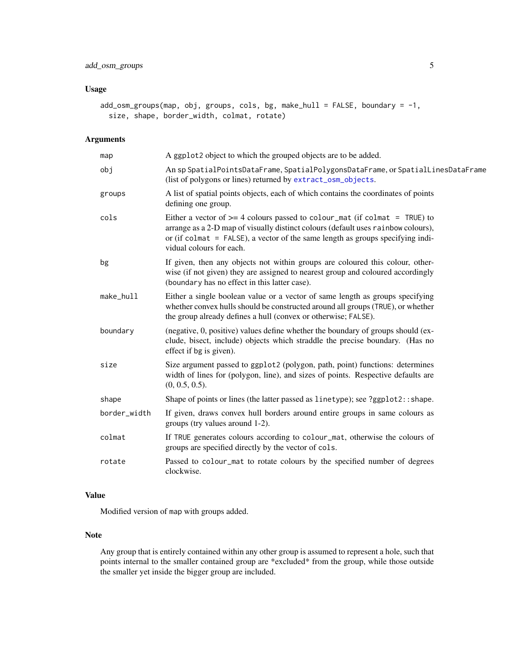# <span id="page-4-0"></span>add\_osm\_groups 5

# Usage

```
add_osm_groups(map, obj, groups, cols, bg, make_hull = FALSE, boundary = -1,
  size, shape, border_width, colmat, rotate)
```
# Arguments

| map          | A ggplot2 object to which the grouped objects are to be added.                                                                                                                                                                                                                       |
|--------------|--------------------------------------------------------------------------------------------------------------------------------------------------------------------------------------------------------------------------------------------------------------------------------------|
| obj          | An sp SpatialPointsDataFrame, SpatialPolygonsDataFrame, or SpatialLinesDataFrame<br>(list of polygons or lines) returned by extract_osm_objects.                                                                                                                                     |
| groups       | A list of spatial points objects, each of which contains the coordinates of points<br>defining one group.                                                                                                                                                                            |
| cols         | Either a vector of $\ge$ = 4 colours passed to colour_mat (if colmat = TRUE) to<br>arrange as a 2-D map of visually distinct colours (default uses rainbow colours),<br>or (if colmat $=$ FALSE), a vector of the same length as groups specifying indi-<br>vidual colours for each. |
| bg           | If given, then any objects not within groups are coloured this colour, other-<br>wise (if not given) they are assigned to nearest group and coloured accordingly<br>(boundary has no effect in this latter case).                                                                    |
| make_hull    | Either a single boolean value or a vector of same length as groups specifying<br>whether convex hulls should be constructed around all groups (TRUE), or whether<br>the group already defines a hull (convex or otherwise; FALSE).                                                   |
| boundary     | (negative, 0, positive) values define whether the boundary of groups should (ex-<br>clude, bisect, include) objects which straddle the precise boundary. (Has no<br>effect if bg is given).                                                                                          |
| size         | Size argument passed to ggplot2 (polygon, path, point) functions: determines<br>width of lines for (polygon, line), and sizes of points. Respective defaults are<br>$(0, 0.5, 0.5)$ .                                                                                                |
| shape        | Shape of points or lines (the latter passed as linetype); see ?ggplot2:: shape.                                                                                                                                                                                                      |
| border_width | If given, draws convex hull borders around entire groups in same colours as<br>groups (try values around 1-2).                                                                                                                                                                       |
| colmat       | If TRUE generates colours according to colour_mat, otherwise the colours of<br>groups are specified directly by the vector of cols.                                                                                                                                                  |
| rotate       | Passed to colour_mat to rotate colours by the specified number of degrees<br>clockwise.                                                                                                                                                                                              |

# Value

Modified version of map with groups added.

#### Note

Any group that is entirely contained within any other group is assumed to represent a hole, such that points internal to the smaller contained group are \*excluded\* from the group, while those outside the smaller yet inside the bigger group are included.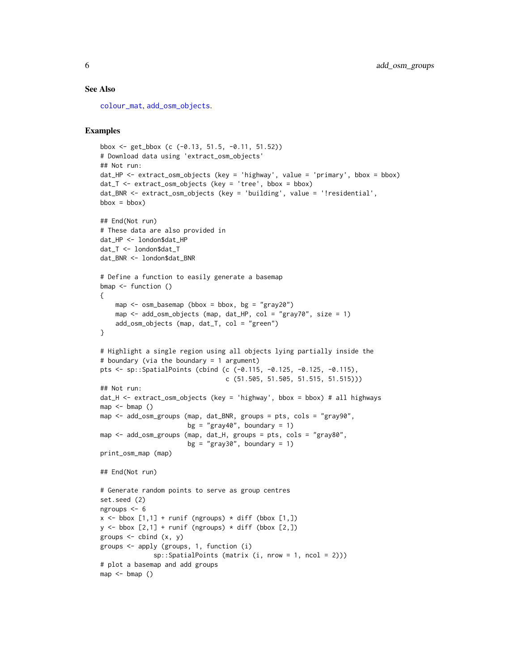#### <span id="page-5-0"></span>See Also

[colour\\_mat](#page-11-1), [add\\_osm\\_objects](#page-6-1).

```
bbox <- get_bbox (c (-0.13, 51.5, -0.11, 51.52))
# Download data using 'extract_osm_objects'
## Not run:
dat_HP <- extract_osm_objects (key = 'highway', value = 'primary', bbox = bbox)
dat_T <- extract_osm_objects (key = 'tree', bbox = bbox)
dat_BNR <- extract_osm_objects (key = 'building', value = '!residential',
bbox = bbox)## End(Not run)
# These data are also provided in
dat HP <- london$dat HP
dat_T <- london$dat_T
dat_BNR <- london$dat_BNR
# Define a function to easily generate a basemap
bmap <- function ()
{
    map \leq osm_basemap (bbox = bbox, bg = "gray20")
    map <- add_osm_objects (map, dat_HP, col = "gray70", size = 1)
   add_osm_objects (map, dat_T, col = "green")
}
# Highlight a single region using all objects lying partially inside the
# boundary (via the boundary = 1 argument)
pts <- sp::SpatialPoints (cbind (c (-0.115, -0.125, -0.125, -0.115),
                                 c (51.505, 51.505, 51.515, 51.515)))
## Not run:
dat_H <- extract_osm_objects (key = 'highway', bbox = bbox) # all highways
map < - \text{bmap} ()
map <- add_osm_groups (map, dat_BNR, groups = pts, cols = "gray90",
                       bg = "gray40", boundary = 1)
map <- add_osm_groups (map, dat_H, groups = pts, cols = "gray80",
                       bg = "gray30", boundary = 1)
print_osm_map (map)
## End(Not run)
# Generate random points to serve as group centres
set.seed (2)
ngroups <- 6
x \le - bbox [1,1] + runif (ngroups) * diff (bbox [1,])
y \le - bbox [2,1] + runif (ngroups) * diff (bbox [2,1])
groups \le cbind (x, y)groups <- apply (groups, 1, function (i)
              sp::SpatialPoints (matrix (i, nrow = 1, ncol = 2)))
# plot a basemap and add groups
map < - \text{bmap} ()
```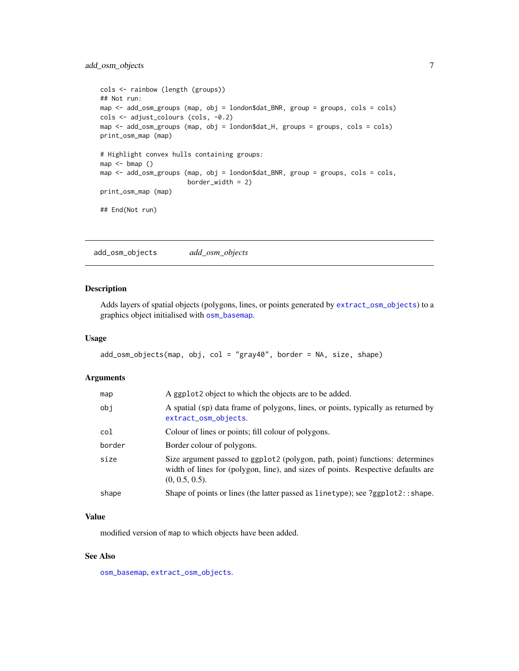# <span id="page-6-0"></span>add\_osm\_objects 7

```
cols <- rainbow (length (groups))
## Not run:
map <- add_osm_groups (map, obj = london$dat_BNR, group = groups, cols = cols)
cols <- adjust_colours (cols, -0.2)
map <- add_osm_groups (map, obj = london$dat_H, groups = groups, cols = cols)
print_osm_map (map)
# Highlight convex hulls containing groups:
map < - \text{bmap} ()
map <- add_osm_groups (map, obj = london$dat_BNR, group = groups, cols = cols,
                       border_width = 2)
print_osm_map (map)
## End(Not run)
```
<span id="page-6-1"></span>add\_osm\_objects *add\_osm\_objects*

# Description

Adds layers of spatial objects (polygons, lines, or points generated by [extract\\_osm\\_objects](#page-13-1)) to a graphics object initialised with [osm\\_basemap](#page-18-1).

#### Usage

```
add_osm_objects(map, obj, col = "gray40", border = NA, size, shape)
```
#### Arguments

| map    | A ggplot <sub>2</sub> object to which the objects are to be added.                                                                                                                    |
|--------|---------------------------------------------------------------------------------------------------------------------------------------------------------------------------------------|
| obi    | A spatial (sp) data frame of polygons, lines, or points, typically as returned by<br>extract_osm_objects.                                                                             |
| col    | Colour of lines or points; fill colour of polygons.                                                                                                                                   |
| border | Border colour of polygons.                                                                                                                                                            |
| size   | Size argument passed to ggplot2 (polygon, path, point) functions: determines<br>width of lines for (polygon, line), and sizes of points. Respective defaults are<br>$(0, 0.5, 0.5)$ . |
| shape  | Shape of points or lines (the latter passed as linetype); see ?ggplot2:: shape.                                                                                                       |

# Value

modified version of map to which objects have been added.

# See Also

[osm\\_basemap](#page-18-1), [extract\\_osm\\_objects](#page-13-1).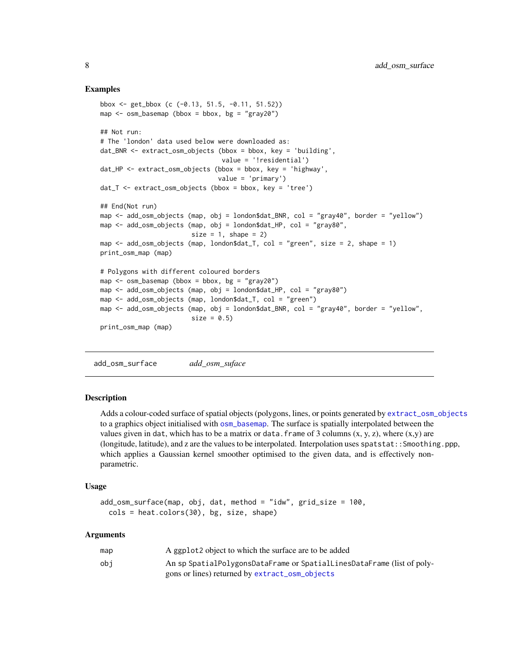#### Examples

```
bbox <- get_bbox (c (-0.13, 51.5, -0.11, 51.52))
map \leq osm_basemap (bbox = bbox, bg = "gray20")
## Not run:
# The 'london' data used below were downloaded as:
dat_BNR <- extract_osm_objects (bbox = bbox, key = 'building',
                                value = '!residential')
dat_HP <- extract_osm_objects (bbox = bbox, key = 'highway',
                               value = 'primary')
dat_T <- extract_osm_objects (bbox = bbox, key = 'tree')
## End(Not run)
map <- add_osm_objects (map, obj = london$dat_BNR, col = "gray40", border = "yellow")
map <- add_osm_objects (map, obj = london$dat_HP, col = "gray80",
                        size = 1, shape = 2)
map \le - add_osm_objects (map, london$dat_T, col = "green", size = 2, shape = 1)
print_osm_map (map)
# Polygons with different coloured borders
map \leq osm_basemap (bbox = bbox, bg = "gray20")
map <- add_osm_objects (map, obj = london$dat_HP, col = "gray80")
map <- add_osm_objects (map, london$dat_T, col = "green")
map <- add_osm_objects (map, obj = london$dat_BNR, col = "gray40", border = "yellow",
                        size = 0.5print_osm_map (map)
```
<span id="page-7-1"></span>add\_osm\_surface *add\_osm\_suface*

#### **Description**

Adds a colour-coded surface of spatial objects (polygons, lines, or points generated by [extract\\_osm\\_objects](#page-13-1) to a graphics object initialised with [osm\\_basemap](#page-18-1). The surface is spatially interpolated between the values given in dat, which has to be a matrix or data. frame of 3 columns  $(x, y, z)$ , where  $(x,y)$  are (longitude, latitude), and z are the values to be interpolated. Interpolation uses spatstat::Smoothing.ppp, which applies a Gaussian kernel smoother optimised to the given data, and is effectively nonparametric.

#### Usage

```
add_osm_surface(map, obj, dat, method = "idw", grid_size = 100,
  cols = heat.colors(30), bg, size, shape)
```
#### Arguments

| map | A ggplot <sub>2</sub> object to which the surface are to be added      |
|-----|------------------------------------------------------------------------|
| obi | An sp SpatialPolygonsDataFrame or SpatialLinesDataFrame (list of poly- |
|     | gons or lines) returned by extract_osm_objects                         |

<span id="page-7-0"></span>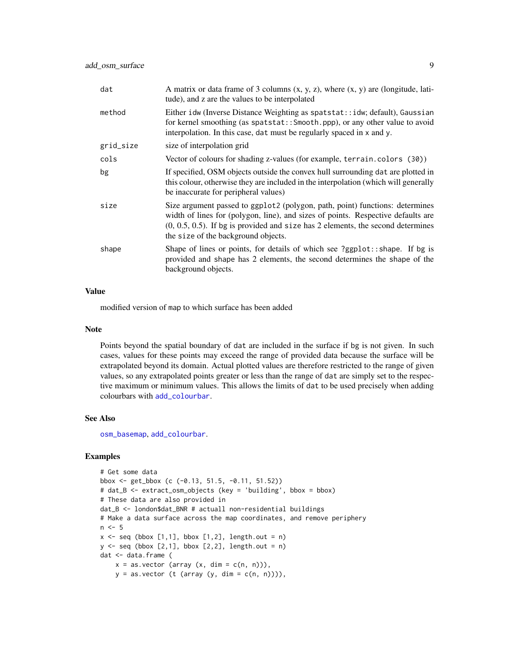<span id="page-8-0"></span>

| dat       | A matrix or data frame of 3 columns $(x, y, z)$ , where $(x, y)$ are (longitude, lati-<br>tude), and z are the values to be interpolated                                                                                                                                                      |
|-----------|-----------------------------------------------------------------------------------------------------------------------------------------------------------------------------------------------------------------------------------------------------------------------------------------------|
| method    | Either idw (Inverse Distance Weighting as spatstat::idw; default), Gaussian<br>for kernel smoothing (as spatstat:: Smooth.ppp), or any other value to avoid<br>interpolation. In this case, dat must be regularly spaced in x and y.                                                          |
| grid_size | size of interpolation grid                                                                                                                                                                                                                                                                    |
| cols      | Vector of colours for shading z-values (for example, terrain.colors (30))                                                                                                                                                                                                                     |
| bg        | If specified, OSM objects outside the convex hull surrounding dat are plotted in<br>this colour, otherwise they are included in the interpolation (which will generally<br>be inaccurate for peripheral values)                                                                               |
| size      | Size argument passed to ggplot2 (polygon, path, point) functions: determines<br>width of lines for (polygon, line), and sizes of points. Respective defaults are<br>$(0, 0.5, 0.5)$ . If bg is provided and size has 2 elements, the second determines<br>the size of the background objects. |
| shape     | Shape of lines or points, for details of which see ?ggplot: $:$ shape. If bg is<br>provided and shape has 2 elements, the second determines the shape of the<br>background objects.                                                                                                           |

# Value

modified version of map to which surface has been added

#### Note

Points beyond the spatial boundary of dat are included in the surface if bg is not given. In such cases, values for these points may exceed the range of provided data because the surface will be extrapolated beyond its domain. Actual plotted values are therefore restricted to the range of given values, so any extrapolated points greater or less than the range of dat are simply set to the respective maximum or minimum values. This allows the limits of dat to be used precisely when adding colourbars with [add\\_colourbar](#page-2-1).

# See Also

[osm\\_basemap](#page-18-1), [add\\_colourbar](#page-2-1).

```
# Get some data
bbox <- get_bbox (c (-0.13, 51.5, -0.11, 51.52))
# dat_B <- extract_osm_objects (key = 'building', bbox = bbox)
# These data are also provided in
dat_B <- london$dat_BNR # actuall non-residential buildings
# Make a data surface across the map coordinates, and remove periphery
n \leq -5x \leq - seq (bbox [1,1], bbox [1,2], length.out = n)
y \leq - seq (bbox [2,1], bbox [2,2], length.out = n)
dat <- data.frame (
   x = as.vector (array (x, dim = c(n, n))),
   y = as.vector (t (array (y, dim = c(n, n)))),
```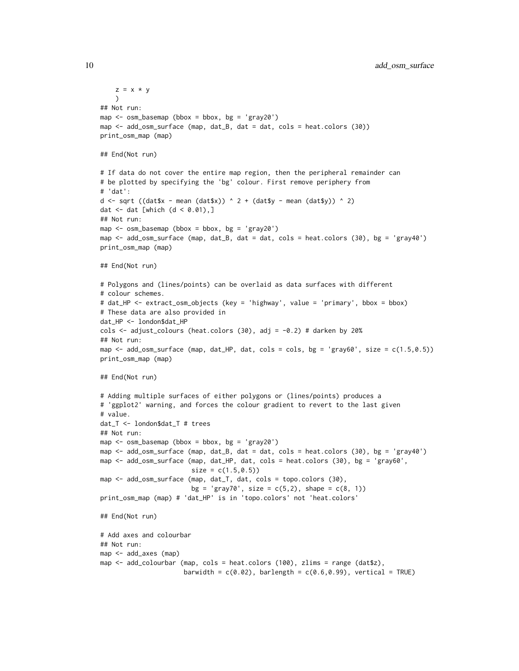```
z = x * y)
## Not run:
map <- osm_basemap (bbox = bbox, bg = 'gray20')
map <- add_osm_surface (map, dat_B, dat = dat, cols = heat.colors (30))
print_osm_map (map)
## End(Not run)
# If data do not cover the entire map region, then the peripheral remainder can
# be plotted by specifying the 'bg' colour. First remove periphery from
# 'dat':
d <- sqrt ((dat$x - mean (dat$x)) ^ 2 + (dat$y - mean (dat$y)) ^ 2)
dat \leq dat [which (d \leq 0.01),]
## Not run:
map \le - osm_basemap (bbox = bbox, bg = 'gray20')
map <- add_osm_surface (map, dat_B, dat = dat, cols = heat.colors (30), bg = 'gray40')
print_osm_map (map)
## End(Not run)
# Polygons and (lines/points) can be overlaid as data surfaces with different
# colour schemes.
# dat_HP <- extract_osm_objects (key = 'highway', value = 'primary', bbox = bbox)
# These data are also provided in
dat_HP <- london$dat_HP
cols \leq adjust_colours (heat.colors (30), adj = -0.2) # darken by 20%
## Not run:
map \le - add_osm_surface (map, dat_HP, dat, cols = cols, bg = 'gray60', size = c(1.5,0.5))
print_osm_map (map)
## End(Not run)
# Adding multiple surfaces of either polygons or (lines/points) produces a
# 'ggplot2' warning, and forces the colour gradient to revert to the last given
# value.
dat_T <- london$dat_T # trees
## Not run:
map \le - osm_basemap (bbox = bbox, bg = 'gray20')
map <- add_osm_surface (map, dat_B, dat = dat, cols = heat.colors (30), bg = 'gray40')
map <- add_osm_surface (map, dat_HP, dat, cols = heat.colors (30), bg = 'gray60',
                        size = c(1.5, 0.5)map <- add_osm_surface (map, dat_T, dat, cols = topo.colors (30),
                        bg = 'gray70', size = c(5,2), shape = c(8, 1))
print_osm_map (map) # 'dat_HP' is in 'topo.colors' not 'heat.colors'
## End(Not run)
# Add axes and colourbar
## Not run:
map <- add_axes (map)
map <- add_colourbar (map, cols = heat.colors (100), zlims = range (dat$z),
                      barwidth = c(0.02), barlength = c(0.6, 0.99), vertical = TRUE)
```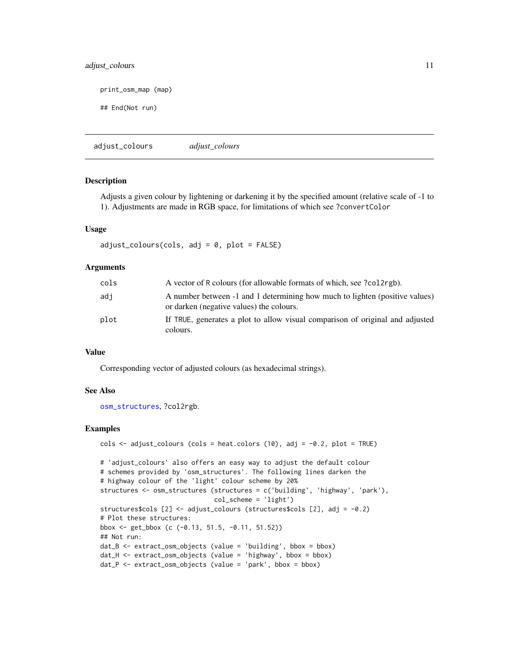# <span id="page-10-0"></span>adjust\_colours 11

print\_osm\_map (map)

## End(Not run)

<span id="page-10-1"></span>adjust\_colours *adjust\_colours*

#### **Description**

Adjusts a given colour by lightening or darkening it by the specified amount (relative scale of -1 to 1). Adjustments are made in RGB space, for limitations of which see ?convertColor

#### Usage

 $adjust_{colours}(cols, adj = 0, plot = FALSE)$ 

#### Arguments

| cols | A vector of R colours (for allowable formats of which, see ?col2rgb).                                                   |
|------|-------------------------------------------------------------------------------------------------------------------------|
| adi  | A number between -1 and 1 determining how much to lighten (positive values)<br>or darken (negative values) the colours. |
| plot | If TRUE, generates a plot to allow visual comparison of original and adjusted<br>colours.                               |

#### Value

Corresponding vector of adjusted colours (as hexadecimal strings).

#### See Also

[osm\\_structures](#page-19-1), ?col2rgb.

```
cols \leq adjust_colours (cols = heat.colors (10), adj = -0.2, plot = TRUE)
# 'adjust_colours' also offers an easy way to adjust the default colour
# schemes provided by 'osm_structures'. The following lines darken the
# highway colour of the 'light' colour scheme by 20%
structures <- osm_structures (structures = c('building', 'highway', 'park'),
                              col_scheme = 'light')
structures$cols [2] <- adjust_colours (structures$cols [2], adj = -0.2)
# Plot these structures:
bbox <- get_bbox (c (-0.13, 51.5, -0.11, 51.52))
## Not run:
dat_B \leftarrow extract\_osm\_objects (value = 'building', bbox = bbox)
dat_H <- extract_osm_objects (value = 'highway', bbox = bbox)
dat_P <- extract_osm_objects (value = 'park', bbox = bbox)
```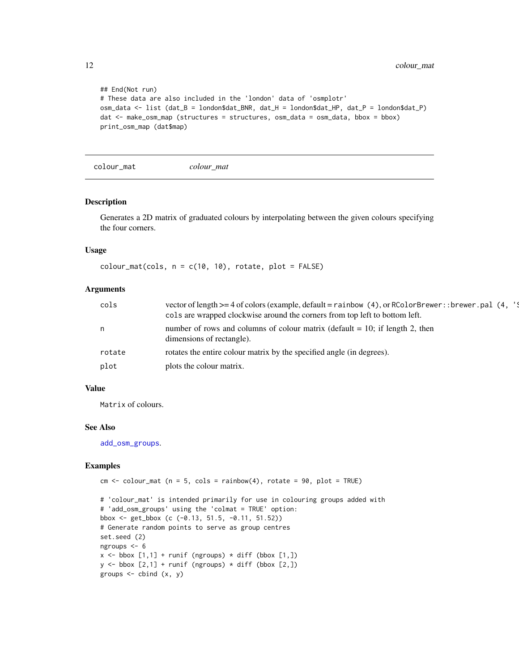```
## End(Not run)
# These data are also included in the 'london' data of 'osmplotr'
osm_data <- list (dat_B = london$dat_BNR, dat_H = london$dat_HP, dat_P = london$dat_P)
dat <- make_osm_map (structures = structures, osm_data = osm_data, bbox = bbox)
print_osm_map (dat$map)
```
<span id="page-11-1"></span>colour\_mat *colour\_mat*

# Description

Generates a 2D matrix of graduated colours by interpolating between the given colours specifying the four corners.

#### Usage

```
colour_matrix(cols, n = c(10, 10), rotate, plot = FALSE)
```
# Arguments

| cols   | vector of length $>= 4$ of colors (example, default = rainbow (4), or RColorBrewer: : brewer. pal (4, '\;<br>cols are wrapped clockwise around the corners from top left to bottom left. |
|--------|------------------------------------------------------------------------------------------------------------------------------------------------------------------------------------------|
| n      | number of rows and columns of colour matrix (default $= 10$ ; if length 2, then<br>dimensions of rectangle).                                                                             |
| rotate | rotates the entire colour matrix by the specified angle (in degrees).                                                                                                                    |
| plot   | plots the colour matrix.                                                                                                                                                                 |

#### Value

Matrix of colours.

#### See Also

[add\\_osm\\_groups](#page-3-1).

```
cm < - colour_mat (n = 5, cols = rainbow(4), rotate = 90, plot = TRUE)
```

```
# 'colour_mat' is intended primarily for use in colouring groups added with
# 'add_osm_groups' using the 'colmat = TRUE' option:
bbox <- get_bbox (c (-0.13, 51.5, -0.11, 51.52))
# Generate random points to serve as group centres
set.seed (2)
ngroups <- 6
x \le - bbox [1,1] + runif (ngroups) * diff (bbox [1,1])
y \le - bbox [2,1] + runif (ngroups) * diff (bbox [2,1])
groups \leq cbind (x, y)
```
<span id="page-11-0"></span>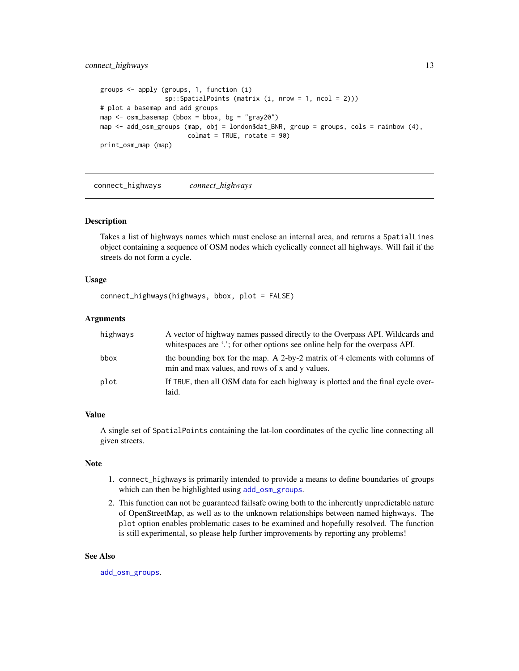```
groups <- apply (groups, 1, function (i)
                 sp::SpatialPoints (matrix (i, nrow = 1, ncol = 2)))
# plot a basemap and add groups
map \leq - osm_basemap (bbox = bbox, bg = "gray20")
map <- add_osm_groups (map, obj = london$dat_BNR, group = groups, cols = rainbow (4),
                       colmat = TRUE, rotate = 90)print_osm_map (map)
```
<span id="page-12-1"></span>connect\_highways *connect\_highways*

#### Description

Takes a list of highways names which must enclose an internal area, and returns a SpatialLines object containing a sequence of OSM nodes which cyclically connect all highways. Will fail if the streets do not form a cycle.

#### Usage

```
connect_highways(highways, bbox, plot = FALSE)
```
#### Arguments

| highways | A vector of highway names passed directly to the Overpass API. Wildcards and<br>whitespaces are '.'; for other options see online help for the overpass API. |
|----------|--------------------------------------------------------------------------------------------------------------------------------------------------------------|
| bbox     | the bounding box for the map. A 2-by-2 matrix of 4 elements with columns of<br>min and max values, and rows of x and y values.                               |
| plot     | If TRUE, then all OSM data for each highway is plotted and the final cycle over-<br>laid.                                                                    |

# Value

A single set of SpatialPoints containing the lat-lon coordinates of the cyclic line connecting all given streets.

# Note

- 1. connect\_highways is primarily intended to provide a means to define boundaries of groups which can then be highlighted using [add\\_osm\\_groups](#page-3-1).
- 2. This function can not be guaranteed failsafe owing both to the inherently unpredictable nature of OpenStreetMap, as well as to the unknown relationships between named highways. The plot option enables problematic cases to be examined and hopefully resolved. The function is still experimental, so please help further improvements by reporting any problems!

#### See Also

[add\\_osm\\_groups](#page-3-1).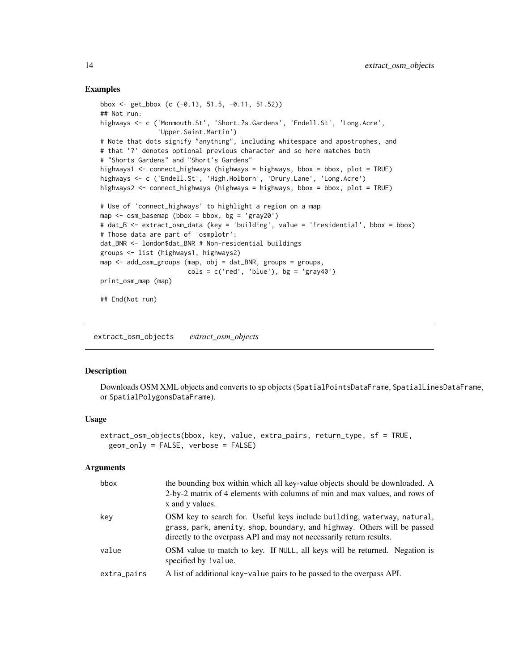#### Examples

```
bbox <- get_bbox (c (-0.13, 51.5, -0.11, 51.52))
## Not run:
highways <- c ('Monmouth.St', 'Short.?s.Gardens', 'Endell.St', 'Long.Acre',
               'Upper.Saint.Martin')
# Note that dots signify "anything", including whitespace and apostrophes, and
# that '?' denotes optional previous character and so here matches both
# "Shorts Gardens" and "Short's Gardens"
highways1 <- connect_highways (highways = highways, bbox = bbox, plot = TRUE)
highways <- c ('Endell.St', 'High.Holborn', 'Drury.Lane', 'Long.Acre')
highways2 <- connect_highways (highways = highways, bbox = bbox, plot = TRUE)
# Use of 'connect_highways' to highlight a region on a map
map \leq osm_basemap (bbox = bbox, bg = 'gray20')
# dat_B <- extract_osm_data (key = 'building', value = '!residential', bbox = bbox)
# Those data are part of 'osmplotr':
dat_BNR <- london$dat_BNR # Non-residential buildings
groups <- list (highways1, highways2)
map <- add_osm_groups (map, obj = dat_BNR, groups = groups,
                      cols = c('red', 'blue'), bg = 'gray40')print_osm_map (map)
## End(Not run)
```
<span id="page-13-1"></span>extract\_osm\_objects *extract\_osm\_objects*

#### **Description**

Downloads OSM XML objects and converts to sp objects (SpatialPointsDataFrame, SpatialLinesDataFrame, or SpatialPolygonsDataFrame).

# Usage

```
extract_osm_objects(bbox, key, value, extra_pairs, return_type, sf = TRUE,
 geom_only = FALSE, verbose = FALSE)
```
#### Arguments

| bbox        | the bounding box within which all key-value objects should be downloaded. A<br>2-by-2 matrix of 4 elements with columns of min and max values, and rows of<br>x and y values.                                               |
|-------------|-----------------------------------------------------------------------------------------------------------------------------------------------------------------------------------------------------------------------------|
| key         | OSM key to search for. Useful keys include building, waterway, natural,<br>grass, park, amenity, shop, boundary, and highway. Others will be passed<br>directly to the overpass API and may not necessarily return results. |
| value       | OSM value to match to key. If NULL, all keys will be returned. Negation is<br>specified by ! value.                                                                                                                         |
| extra_pairs | A list of additional key-value pairs to be passed to the overpass API.                                                                                                                                                      |

<span id="page-13-0"></span>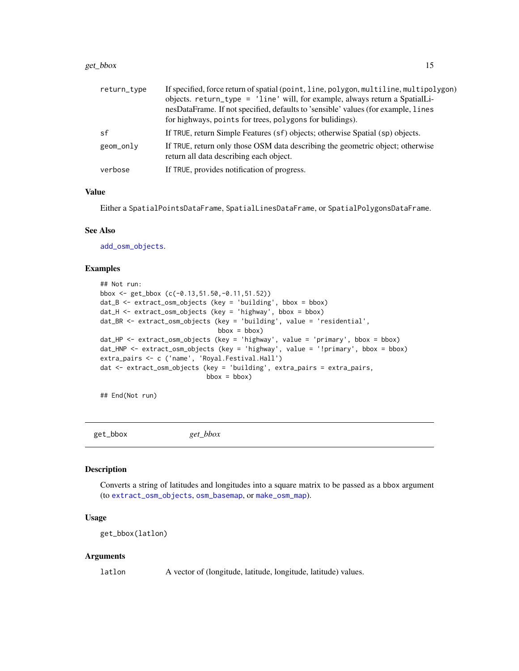#### <span id="page-14-0"></span>get\_bbox 15

| return_type | If specified, force return of spatial (point, line, polygon, multiline, multipolygon)<br>objects. return_type = 'line' will, for example, always return a SpatialLi-<br>nesDataFrame. If not specified, defaults to 'sensible' values (for example, lines<br>for highways, points for trees, polygons for bulidings). |
|-------------|-----------------------------------------------------------------------------------------------------------------------------------------------------------------------------------------------------------------------------------------------------------------------------------------------------------------------|
| sf          | If TRUE, return Simple Features (sf) objects; otherwise Spatial (sp) objects.                                                                                                                                                                                                                                         |
| geom_only   | If TRUE, return only those OSM data describing the geometric object; otherwise<br>return all data describing each object.                                                                                                                                                                                             |
| verbose     | If TRUE, provides notification of progress.                                                                                                                                                                                                                                                                           |

#### Value

Either a SpatialPointsDataFrame, SpatialLinesDataFrame, or SpatialPolygonsDataFrame.

#### See Also

[add\\_osm\\_objects](#page-6-1).

#### Examples

```
## Not run:
bbox <- get_bbox (c(-0.13,51.50,-0.11,51.52))
dat_B <- extract_osm_objects (key = 'building', bbox = bbox)
dat_H <- extract_osm_objects (key = 'highway', bbox = bbox)
dat_BR <- extract_osm_objects (key = 'building', value = 'residential',
                               bbox = bbox)dat_HP <- extract_osm_objects (key = 'highway', value = 'primary', bbox = bbox)
dat_HNP <- extract_osm_objects (key = 'highway', value = '!primary', bbox = bbox)
extra_pairs <- c ('name', 'Royal.Festival.Hall')
dat <- extract_osm_objects (key = 'building', extra_pairs = extra_pairs,
                           bbox = bbox)
```
## End(Not run)

<span id="page-14-1"></span>get\_bbox *get\_bbox*

#### Description

Converts a string of latitudes and longitudes into a square matrix to be passed as a bbox argument (to [extract\\_osm\\_objects](#page-13-1), [osm\\_basemap](#page-18-1), or [make\\_osm\\_map](#page-16-1)).

# Usage

```
get_bbox(latlon)
```
#### Arguments

latlon A vector of (longitude, latitude, longitude, latitude) values.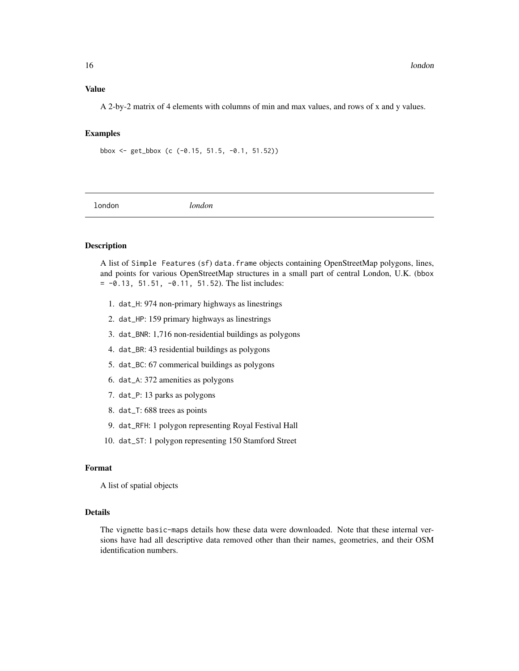# <span id="page-15-0"></span>Value

A 2-by-2 matrix of 4 elements with columns of min and max values, and rows of x and y values.

#### Examples

bbox <- get\_bbox (c (-0.15, 51.5, -0.1, 51.52))

<span id="page-15-1"></span>london *london*

# Description

A list of Simple Features (sf) data.frame objects containing OpenStreetMap polygons, lines, and points for various OpenStreetMap structures in a small part of central London, U.K. (bbox  $= -0.13, 51.51, -0.11, 51.52$ . The list includes:

- 1. dat\_H: 974 non-primary highways as linestrings
- 2. dat\_HP: 159 primary highways as linestrings
- 3. dat\_BNR: 1,716 non-residential buildings as polygons
- 4. dat\_BR: 43 residential buildings as polygons
- 5. dat\_BC: 67 commerical buildings as polygons
- 6. dat\_A: 372 amenities as polygons
- 7. dat\_P: 13 parks as polygons
- 8. dat\_T: 688 trees as points
- 9. dat\_RFH: 1 polygon representing Royal Festival Hall
- 10. dat\_ST: 1 polygon representing 150 Stamford Street

# Format

A list of spatial objects

## Details

The vignette basic-maps details how these data were downloaded. Note that these internal versions have had all descriptive data removed other than their names, geometries, and their OSM identification numbers.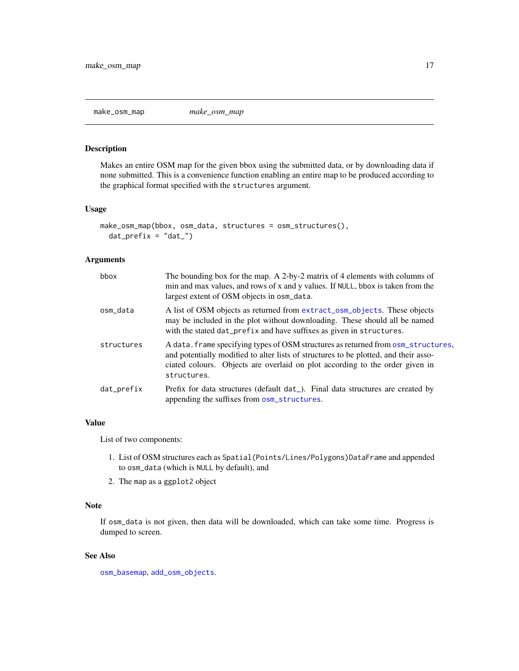<span id="page-16-1"></span><span id="page-16-0"></span>make\_osm\_map *make\_osm\_map*

# Description

Makes an entire OSM map for the given bbox using the submitted data, or by downloading data if none submitted. This is a convenience function enabling an entire map to be produced according to the graphical format specified with the structures argument.

# Usage

```
make_osm_map(bbox, osm_data, structures = osm_structures(),
  dat\_prefix = "dat__")
```
#### Arguments

| bbox       | The bounding box for the map. A 2-by-2 matrix of 4 elements with columns of<br>min and max values, and rows of x and y values. If NULL, bbox is taken from the<br>largest extent of OSM objects in osm_data.                                                             |
|------------|--------------------------------------------------------------------------------------------------------------------------------------------------------------------------------------------------------------------------------------------------------------------------|
| osm data   | A list of OSM objects as returned from extract_osm_objects. These objects<br>may be included in the plot without downloading. These should all be named<br>with the stated dat_prefix and have suffixes as given in structures.                                          |
| structures | A data. frame specifying types of OSM structures as returned from osm_structures,<br>and potentially modified to alter lists of structures to be plotted, and their asso-<br>ciated colours. Objects are overlaid on plot according to the order given in<br>structures. |
| dat_prefix | Prefix for data structures (default dat ). Final data structures are created by<br>appending the suffixes from osm_structures.                                                                                                                                           |

#### Value

List of two components:

- 1. List of OSM structures each as Spatial(Points/Lines/Polygons)DataFrame and appended to osm\_data (which is NULL by default), and
- 2. The map as a ggplot2 object

#### Note

If osm\_data is not given, then data will be downloaded, which can take some time. Progress is dumped to screen.

# See Also

[osm\\_basemap](#page-18-1), [add\\_osm\\_objects](#page-6-1).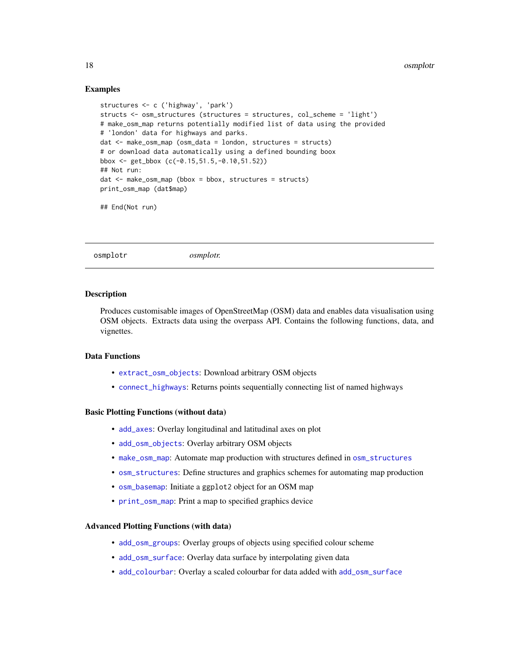### Examples

```
structures <- c ('highway', 'park')
structs <- osm_structures (structures = structures, col_scheme = 'light')
# make_osm_map returns potentially modified list of data using the provided
# 'london' data for highways and parks.
dat <- make_osm_map (osm_data = london, structures = structs)
# or download data automatically using a defined bounding boox
bbox <- get_bbox (c(-0.15,51.5,-0.10,51.52))
## Not run:
dat \leq - make_{osm\_map} (bbox = bbox, structures = structs)
print_osm_map (dat$map)
## End(Not run)
```
osmplotr *osmplotr.*

# **Description**

Produces customisable images of OpenStreetMap (OSM) data and enables data visualisation using OSM objects. Extracts data using the overpass API. Contains the following functions, data, and vignettes.

# Data Functions

- [extract\\_osm\\_objects](#page-13-1): Download arbitrary OSM objects
- [connect\\_highways](#page-12-1): Returns points sequentially connecting list of named highways

#### Basic Plotting Functions (without data)

- [add\\_axes](#page-1-1): Overlay longitudinal and latitudinal axes on plot
- [add\\_osm\\_objects](#page-6-1): Overlay arbitrary OSM objects
- [make\\_osm\\_map](#page-16-1): Automate map production with structures defined in [osm\\_structures](#page-19-1)
- [osm\\_structures](#page-19-1): Define structures and graphics schemes for automating map production
- [osm\\_basemap](#page-18-1): Initiate a ggplot2 object for an OSM map
- [print\\_osm\\_map](#page-20-1): Print a map to specified graphics device

# Advanced Plotting Functions (with data)

- [add\\_osm\\_groups](#page-3-1): Overlay groups of objects using specified colour scheme
- [add\\_osm\\_surface](#page-7-1): Overlay data surface by interpolating given data
- [add\\_colourbar](#page-2-1): Overlay a scaled colourbar for data added with [add\\_osm\\_surface](#page-7-1)

<span id="page-17-0"></span>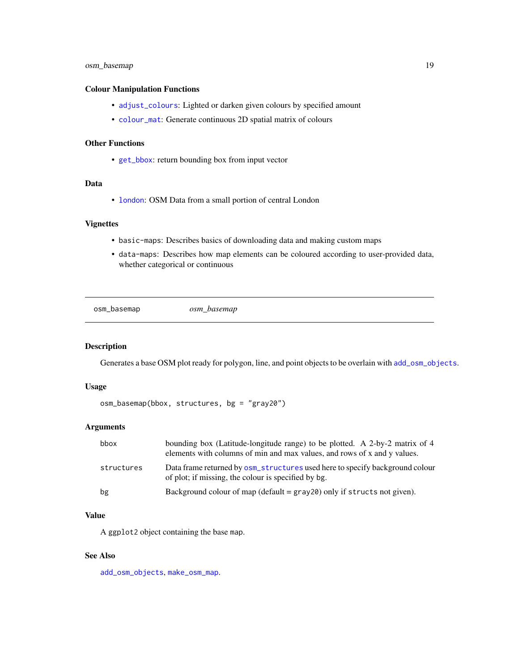# <span id="page-18-0"></span>osm\_basemap 19

# Colour Manipulation Functions

- [adjust\\_colours](#page-10-1): Lighted or darken given colours by specified amount
- [colour\\_mat](#page-11-1): Generate continuous 2D spatial matrix of colours

# Other Functions

• [get\\_bbox](#page-14-1): return bounding box from input vector

# Data

• [london](#page-15-1): OSM Data from a small portion of central London

# Vignettes

- basic-maps: Describes basics of downloading data and making custom maps
- data-maps: Describes how map elements can be coloured according to user-provided data, whether categorical or continuous

<span id="page-18-1"></span>osm\_basemap *osm\_basemap*

#### Description

Generates a base OSM plot ready for polygon, line, and point objects to be overlain with [add\\_osm\\_objects](#page-6-1).

#### Usage

```
osm_basemap(bbox, structures, bg = "gray20")
```
#### Arguments

| bbox       | bounding box (Latitude-longitude range) to be plotted. A 2-by-2 matrix of 4<br>elements with columns of min and max values, and rows of x and y values. |
|------------|---------------------------------------------------------------------------------------------------------------------------------------------------------|
| structures | Data frame returned by $osm_$ _structures used here to specify background colour<br>of plot; if missing, the colour is specified by bg.                 |
| bg         | Background colour of map (default $=$ gray 20) only if structs not given).                                                                              |

# Value

A ggplot2 object containing the base map.

# See Also

[add\\_osm\\_objects](#page-6-1), [make\\_osm\\_map](#page-16-1).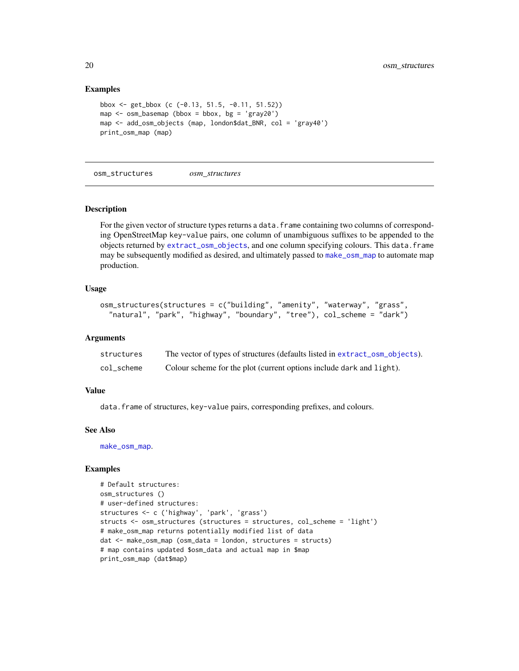# Examples

```
bbox <- get_bbox (c (-0.13, 51.5, -0.11, 51.52))
map \leq osm_basemap (bbox = bbox, bg = 'gray20')
map <- add_osm_objects (map, london$dat_BNR, col = 'gray40')
print_osm_map (map)
```
<span id="page-19-1"></span>osm\_structures *osm\_structures*

# Description

For the given vector of structure types returns a data. frame containing two columns of corresponding OpenStreetMap key-value pairs, one column of unambiguous suffixes to be appended to the objects returned by [extract\\_osm\\_objects](#page-13-1), and one column specifying colours. This data.frame may be subsequently modified as desired, and ultimately passed to [make\\_osm\\_map](#page-16-1) to automate map production.

#### Usage

```
osm_structures(structures = c("building", "amenity", "waterway", "grass",
  "natural", "park", "highway", "boundary", "tree"), col_scheme = "dark")
```
#### Arguments

| structures | The vector of types of structures (defaults listed in extract_osm_objects). |
|------------|-----------------------------------------------------------------------------|
| col_scheme | Colour scheme for the plot (current options include dark and light).        |

#### Value

data.frame of structures, key-value pairs, corresponding prefixes, and colours.

#### See Also

[make\\_osm\\_map](#page-16-1).

```
# Default structures:
osm_structures ()
# user-defined structures:
structures <- c ('highway', 'park', 'grass')
structs <- osm_structures (structures = structures, col_scheme = 'light')
# make_osm_map returns potentially modified list of data
dat <- make_osm_map (osm_data = london, structures = structs)
# map contains updated $osm_data and actual map in $map
print_osm_map (dat$map)
```
<span id="page-19-0"></span>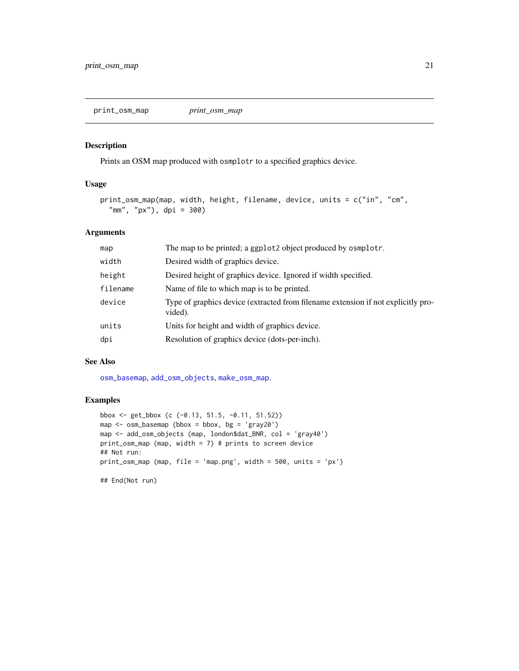<span id="page-20-1"></span><span id="page-20-0"></span>print\_osm\_map *print\_osm\_map*

# Description

Prints an OSM map produced with osmplotr to a specified graphics device.

# Usage

```
print_osm_map(map, width, height, filename, device, units = c("in", "cm",
  "mm", "px"), dpi = 300)
```
# Arguments

| map      | The map to be printed; a ggplot2 object produced by osmplotr.                                |
|----------|----------------------------------------------------------------------------------------------|
| width    | Desired width of graphics device.                                                            |
| height   | Desired height of graphics device. Ignored if width specified.                               |
| filename | Name of file to which map is to be printed.                                                  |
| device   | Type of graphics device (extracted from filename extension if not explicitly pro-<br>vided). |
| units    | Units for height and width of graphics device.                                               |
| dpi      | Resolution of graphics device (dots-per-inch).                                               |

#### See Also

[osm\\_basemap](#page-18-1), [add\\_osm\\_objects](#page-6-1), [make\\_osm\\_map](#page-16-1).

# Examples

```
bbox <- get_bbox (c (-0.13, 51.5, -0.11, 51.52))
map \leq osm_basemap (bbox = bbox, bg = 'gray20')
map <- add_osm_objects (map, london$dat_BNR, col = 'gray40')
print_osm_map (map, width = 7) # prints to screen device
## Not run:
print_osm_map (map, file = 'map.png', width = 500, units = 'px')
```
## End(Not run)